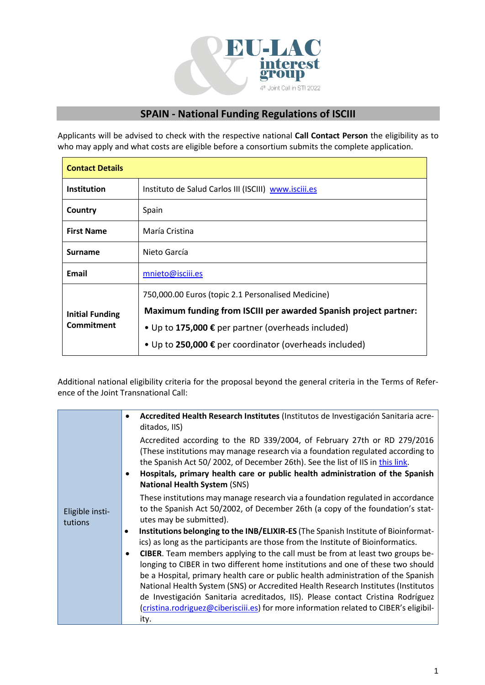

## **SPAIN - National Funding Regulations of ISCIII**

Applicants will be advised to check with the respective national **Call Contact Person** the eligibility as to who may apply and what costs are eligible before a consortium submits the complete application.

| <b>Contact Details</b>               |                                                                  |  |
|--------------------------------------|------------------------------------------------------------------|--|
| <b>Institution</b>                   | Instituto de Salud Carlos III (ISCIII) www.isciii.es             |  |
| Country                              | Spain                                                            |  |
| <b>First Name</b>                    | María Cristina                                                   |  |
| <b>Surname</b>                       | Nieto García                                                     |  |
| Email                                | mnieto@isciii.es                                                 |  |
| <b>Initial Funding</b><br>Commitment | 750,000.00 Euros (topic 2.1 Personalised Medicine)               |  |
|                                      | Maximum funding from ISCIII per awarded Spanish project partner: |  |
|                                      | • Up to 175,000 € per partner (overheads included)               |  |
|                                      | • Up to 250,000 € per coordinator (overheads included)           |  |

Additional national eligibility criteria for the proposal beyond the general criteria in the Terms of Reference of the Joint Transnational Call:

| Eligible insti-<br>tutions | Accredited Health Research Institutes (Institutos de Investigación Sanitaria acre-<br>ditados, IIS)                                                                                                                                                                                                                                                                                                                                                                                                                                                                                                                                                                                                                        |
|----------------------------|----------------------------------------------------------------------------------------------------------------------------------------------------------------------------------------------------------------------------------------------------------------------------------------------------------------------------------------------------------------------------------------------------------------------------------------------------------------------------------------------------------------------------------------------------------------------------------------------------------------------------------------------------------------------------------------------------------------------------|
|                            | Accredited according to the RD 339/2004, of February 27th or RD 279/2016<br>(These institutions may manage research via a foundation regulated according to<br>the Spanish Act 50/2002, of December 26th). See the list of IIS in this link.<br>Hospitals, primary health care or public health administration of the Spanish<br><b>National Health System (SNS)</b>                                                                                                                                                                                                                                                                                                                                                       |
|                            | These institutions may manage research via a foundation regulated in accordance<br>to the Spanish Act 50/2002, of December 26th (a copy of the foundation's stat-<br>utes may be submitted).                                                                                                                                                                                                                                                                                                                                                                                                                                                                                                                               |
|                            | Institutions belonging to the INB/ELIXIR-ES (The Spanish Institute of Bioinformat-<br>$\bullet$<br>ics) as long as the participants are those from the Institute of Bioinformatics.<br>CIBER. Team members applying to the call must be from at least two groups be-<br>٠<br>longing to CIBER in two different home institutions and one of these two should<br>be a Hospital, primary health care or public health administration of the Spanish<br>National Health System (SNS) or Accredited Health Research Institutes (Institutos<br>de Investigación Sanitaria acreditados, IIS). Please contact Cristina Rodríguez<br>(cristina.rodriguez@ciberisciii.es) for more information related to CIBER's eligibil-<br>ity. |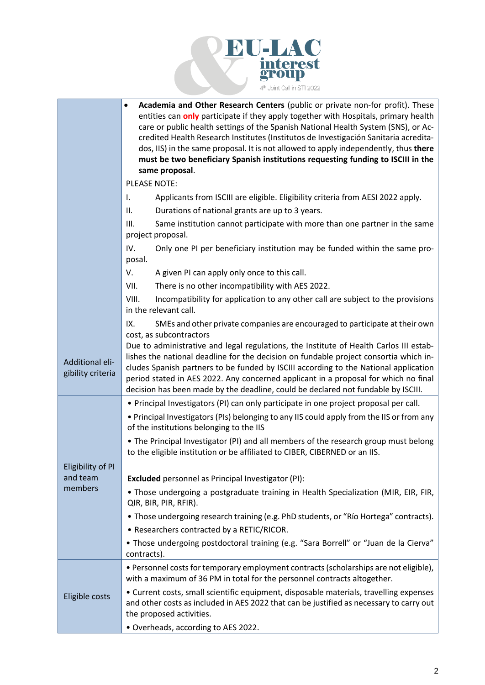

|                                      | Academia and Other Research Centers (public or private non-for profit). These<br>$\bullet$                                                                               |
|--------------------------------------|--------------------------------------------------------------------------------------------------------------------------------------------------------------------------|
|                                      | entities can only participate if they apply together with Hospitals, primary health                                                                                      |
|                                      | care or public health settings of the Spanish National Health System (SNS), or Ac-                                                                                       |
|                                      | credited Health Research Institutes (Institutos de Investigación Sanitaria acredita-                                                                                     |
|                                      | dos, IIS) in the same proposal. It is not allowed to apply independently, thus there<br>must be two beneficiary Spanish institutions requesting funding to ISCIII in the |
|                                      | same proposal.                                                                                                                                                           |
|                                      | <b>PLEASE NOTE:</b>                                                                                                                                                      |
|                                      | Applicants from ISCIII are eligible. Eligibility criteria from AESI 2022 apply.<br>I.                                                                                    |
|                                      | Durations of national grants are up to 3 years.<br>Ш.                                                                                                                    |
|                                      | III.<br>Same institution cannot participate with more than one partner in the same                                                                                       |
|                                      | project proposal.                                                                                                                                                        |
|                                      | IV.<br>Only one PI per beneficiary institution may be funded within the same pro-                                                                                        |
|                                      | posal.                                                                                                                                                                   |
|                                      | V.<br>A given PI can apply only once to this call.                                                                                                                       |
|                                      | VII.<br>There is no other incompatibility with AES 2022.                                                                                                                 |
|                                      | VIII.<br>Incompatibility for application to any other call are subject to the provisions<br>in the relevant call.                                                        |
|                                      | IX.<br>SMEs and other private companies are encouraged to participate at their own                                                                                       |
|                                      | cost, as subcontractors                                                                                                                                                  |
|                                      | Due to administrative and legal regulations, the Institute of Health Carlos III estab-                                                                                   |
|                                      | lishes the national deadline for the decision on fundable project consortia which in-                                                                                    |
| Additional eli-<br>gibility criteria | cludes Spanish partners to be funded by ISCIII according to the National application                                                                                     |
|                                      | period stated in AES 2022. Any concerned applicant in a proposal for which no final                                                                                      |
|                                      | decision has been made by the deadline, could be declared not fundable by ISCIII.                                                                                        |
|                                      | • Principal Investigators (PI) can only participate in one project proposal per call.                                                                                    |
|                                      | • Principal Investigators (PIs) belonging to any IIS could apply from the IIS or from any<br>of the institutions belonging to the IIS                                    |
|                                      | • The Principal Investigator (PI) and all members of the research group must belong                                                                                      |
|                                      | to the eligible institution or be affiliated to CIBER, CIBERNED or an IIS.                                                                                               |
| Eligibility of PI                    |                                                                                                                                                                          |
| and team                             | <b>Excluded</b> personnel as Principal Investigator (PI):                                                                                                                |
| members                              | . Those undergoing a postgraduate training in Health Specialization (MIR, EIR, FIR,<br>QIR, BIR, PIR, RFIR).                                                             |
|                                      | • Those undergoing research training (e.g. PhD students, or "Río Hortega" contracts).                                                                                    |
|                                      | • Researchers contracted by a RETIC/RICOR.                                                                                                                               |
|                                      | • Those undergoing postdoctoral training (e.g. "Sara Borrell" or "Juan de la Cierva"<br>contracts).                                                                      |
| Eligible costs                       | • Personnel costs for temporary employment contracts (scholarships are not eligible),<br>with a maximum of 36 PM in total for the personnel contracts altogether.        |
|                                      | • Current costs, small scientific equipment, disposable materials, travelling expenses                                                                                   |
|                                      | and other costs as included in AES 2022 that can be justified as necessary to carry out                                                                                  |
|                                      | the proposed activities.                                                                                                                                                 |
|                                      | · Overheads, according to AES 2022.                                                                                                                                      |